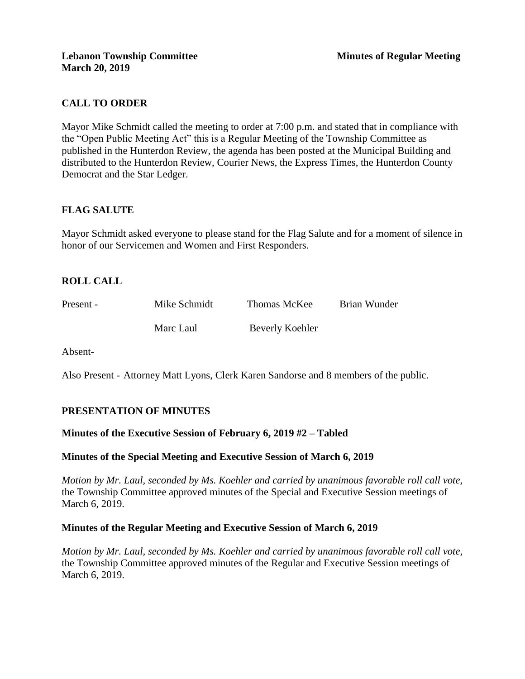# **CALL TO ORDER**

Mayor Mike Schmidt called the meeting to order at 7:00 p.m. and stated that in compliance with the "Open Public Meeting Act" this is a Regular Meeting of the Township Committee as published in the Hunterdon Review, the agenda has been posted at the Municipal Building and distributed to the Hunterdon Review, Courier News, the Express Times, the Hunterdon County Democrat and the Star Ledger.

# **FLAG SALUTE**

Mayor Schmidt asked everyone to please stand for the Flag Salute and for a moment of silence in honor of our Servicemen and Women and First Responders.

# **ROLL CALL**

| Present - | Mike Schmidt | Thomas McKee    | Brian Wunder |
|-----------|--------------|-----------------|--------------|
|           | Marc Laul    | Beverly Koehler |              |

Absent-

Also Present - Attorney Matt Lyons, Clerk Karen Sandorse and 8 members of the public.

# **PRESENTATION OF MINUTES**

### **Minutes of the Executive Session of February 6, 2019 #2 – Tabled**

### **Minutes of the Special Meeting and Executive Session of March 6, 2019**

*Motion by Mr. Laul, seconded by Ms. Koehler and carried by unanimous favorable roll call vote,* the Township Committee approved minutes of the Special and Executive Session meetings of March 6, 2019.

### **Minutes of the Regular Meeting and Executive Session of March 6, 2019**

*Motion by Mr. Laul, seconded by Ms. Koehler and carried by unanimous favorable roll call vote,* the Township Committee approved minutes of the Regular and Executive Session meetings of March 6, 2019.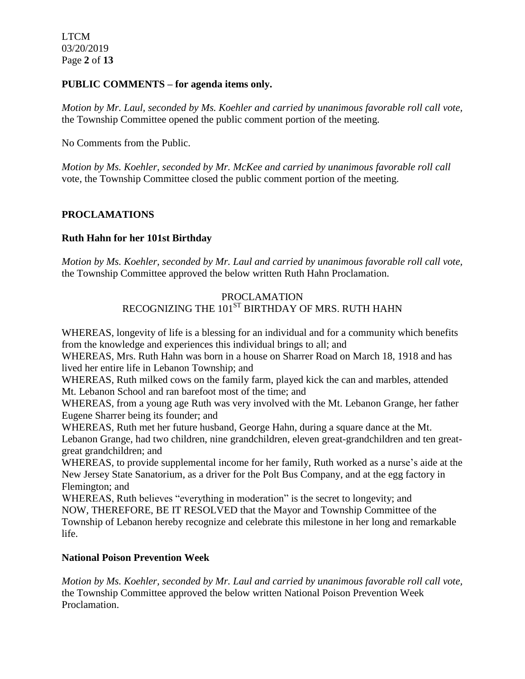#### **PUBLIC COMMENTS – for agenda items only.**

*Motion by Mr. Laul, seconded by Ms. Koehler and carried by unanimous favorable roll call vote,* the Township Committee opened the public comment portion of the meeting.

No Comments from the Public.

*Motion by Ms. Koehler, seconded by Mr. McKee and carried by unanimous favorable roll call*  vote, the Township Committee closed the public comment portion of the meeting.

## **PROCLAMATIONS**

### **Ruth Hahn for her 101st Birthday**

*Motion by Ms. Koehler, seconded by Mr. Laul and carried by unanimous favorable roll call vote,* the Township Committee approved the below written Ruth Hahn Proclamation.

# PROCLAMATION RECOGNIZING THE 101<sup>ST</sup> BIRTHDAY OF MRS. RUTH HAHN

WHEREAS, longevity of life is a blessing for an individual and for a community which benefits from the knowledge and experiences this individual brings to all; and

WHEREAS, Mrs. Ruth Hahn was born in a house on Sharrer Road on March 18, 1918 and has lived her entire life in Lebanon Township; and

WHEREAS, Ruth milked cows on the family farm, played kick the can and marbles, attended Mt. Lebanon School and ran barefoot most of the time; and

WHEREAS, from a young age Ruth was very involved with the Mt. Lebanon Grange, her father Eugene Sharrer being its founder; and

WHEREAS, Ruth met her future husband, George Hahn, during a square dance at the Mt. Lebanon Grange, had two children, nine grandchildren, eleven great-grandchildren and ten greatgreat grandchildren; and

WHEREAS, to provide supplemental income for her family, Ruth worked as a nurse's aide at the New Jersey State Sanatorium, as a driver for the Polt Bus Company, and at the egg factory in Flemington; and

WHEREAS, Ruth believes "everything in moderation" is the secret to longevity; and NOW, THEREFORE, BE IT RESOLVED that the Mayor and Township Committee of the Township of Lebanon hereby recognize and celebrate this milestone in her long and remarkable life.

### **National Poison Prevention Week**

*Motion by Ms. Koehler, seconded by Mr. Laul and carried by unanimous favorable roll call vote,* the Township Committee approved the below written National Poison Prevention Week Proclamation.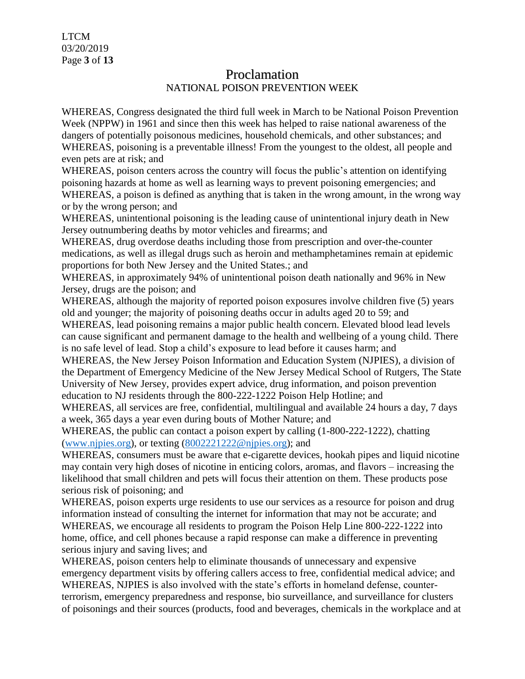# Proclamation NATIONAL POISON PREVENTION WEEK

WHEREAS, Congress designated the third full week in March to be National Poison Prevention Week (NPPW) in 1961 and since then this week has helped to raise national awareness of the dangers of potentially poisonous medicines, household chemicals, and other substances; and WHEREAS, poisoning is a preventable illness! From the youngest to the oldest, all people and even pets are at risk; and

WHEREAS, poison centers across the country will focus the public's attention on identifying poisoning hazards at home as well as learning ways to prevent poisoning emergencies; and WHEREAS, a poison is defined as anything that is taken in the wrong amount, in the wrong way or by the wrong person; and

WHEREAS, unintentional poisoning is the leading cause of unintentional injury death in New Jersey outnumbering deaths by motor vehicles and firearms; and

WHEREAS, drug overdose deaths including those from prescription and over-the-counter medications, as well as illegal drugs such as heroin and methamphetamines remain at epidemic proportions for both New Jersey and the United States.; and

WHEREAS, in approximately 94% of unintentional poison death nationally and 96% in New Jersey, drugs are the poison; and

WHEREAS, although the majority of reported poison exposures involve children five (5) years old and younger; the majority of poisoning deaths occur in adults aged 20 to 59; and WHEREAS, lead poisoning remains a major public health concern. Elevated blood lead levels

can cause significant and permanent damage to the health and wellbeing of a young child. There is no safe level of lead. Stop a child's exposure to lead before it causes harm; and

WHEREAS, the New Jersey Poison Information and Education System (NJPIES), a division of the Department of Emergency Medicine of the New Jersey Medical School of Rutgers, The State University of New Jersey, provides expert advice, drug information, and poison prevention education to NJ residents through the 800-222-1222 Poison Help Hotline; and

WHEREAS, all services are free, confidential, multilingual and available 24 hours a day, 7 days a week, 365 days a year even during bouts of Mother Nature; and

WHEREAS, the public can contact a poison expert by calling (1-800-222-1222), chatting [\(www.njpies.org\)](http://www.njpies.org/), or texting [\(8002221222@njpies.org\)](mailto:8002221222@njpies.org); and

WHEREAS, consumers must be aware that e-cigarette devices, hookah pipes and liquid nicotine may contain very high doses of nicotine in enticing colors, aromas, and flavors – increasing the likelihood that small children and pets will focus their attention on them. These products pose serious risk of poisoning; and

WHEREAS, poison experts urge residents to use our services as a resource for poison and drug information instead of consulting the internet for information that may not be accurate; and WHEREAS, we encourage all residents to program the Poison Help Line 800-222-1222 into home, office, and cell phones because a rapid response can make a difference in preventing serious injury and saving lives; and

WHEREAS, poison centers help to eliminate thousands of unnecessary and expensive emergency department visits by offering callers access to free, confidential medical advice; and WHEREAS, NJPIES is also involved with the state's efforts in homeland defense, counterterrorism, emergency preparedness and response, bio surveillance, and surveillance for clusters of poisonings and their sources (products, food and beverages, chemicals in the workplace and at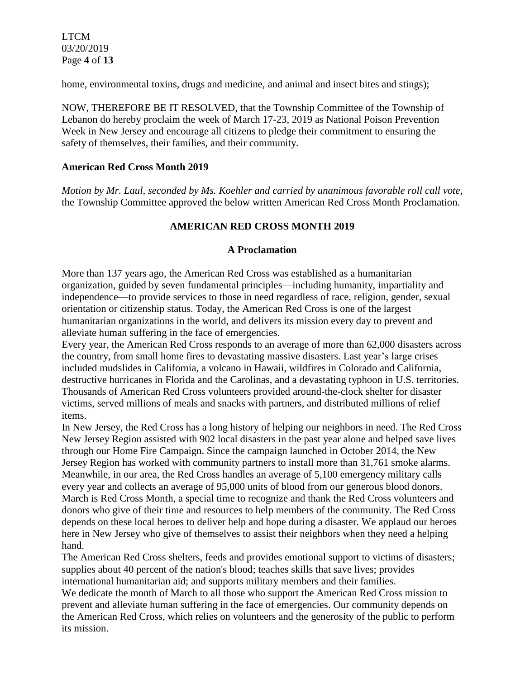LTCM 03/20/2019 Page **4** of **13**

home, environmental toxins, drugs and medicine, and animal and insect bites and stings);

NOW, THEREFORE BE IT RESOLVED, that the Township Committee of the Township of Lebanon do hereby proclaim the week of March 17-23, 2019 as National Poison Prevention Week in New Jersey and encourage all citizens to pledge their commitment to ensuring the safety of themselves, their families, and their community.

## **American Red Cross Month 2019**

*Motion by Mr. Laul, seconded by Ms. Koehler and carried by unanimous favorable roll call vote,* the Township Committee approved the below written American Red Cross Month Proclamation.

# **AMERICAN RED CROSS MONTH 2019**

## **A Proclamation**

More than 137 years ago, the American Red Cross was established as a humanitarian organization, guided by seven fundamental principles—including humanity, impartiality and independence—to provide services to those in need regardless of race, religion, gender, sexual orientation or citizenship status. Today, the American Red Cross is one of the largest humanitarian organizations in the world, and delivers its mission every day to prevent and alleviate human suffering in the face of emergencies.

Every year, the American Red Cross responds to an average of more than 62,000 disasters across the country, from small home fires to devastating massive disasters. Last year's large crises included mudslides in California, a volcano in Hawaii, wildfires in Colorado and California, destructive hurricanes in Florida and the Carolinas, and a devastating typhoon in U.S. territories. Thousands of American Red Cross volunteers provided around-the-clock shelter for disaster victims, served millions of meals and snacks with partners, and distributed millions of relief items.

In New Jersey, the Red Cross has a long history of helping our neighbors in need. The Red Cross New Jersey Region assisted with 902 local disasters in the past year alone and helped save lives through our Home Fire Campaign. Since the campaign launched in October 2014, the New Jersey Region has worked with community partners to install more than 31,761 smoke alarms. Meanwhile, in our area, the Red Cross handles an average of 5,100 emergency military calls every year and collects an average of 95,000 units of blood from our generous blood donors. March is Red Cross Month, a special time to recognize and thank the Red Cross volunteers and donors who give of their time and resources to help members of the community. The Red Cross depends on these local heroes to deliver help and hope during a disaster. We applaud our heroes here in New Jersey who give of themselves to assist their neighbors when they need a helping hand.

The American Red Cross shelters, feeds and provides emotional support to victims of disasters; supplies about 40 percent of the nation's blood; teaches skills that save lives; provides international humanitarian aid; and supports military members and their families.

We dedicate the month of March to all those who support the American Red Cross mission to prevent and alleviate human suffering in the face of emergencies. Our community depends on the American Red Cross, which relies on volunteers and the generosity of the public to perform its mission.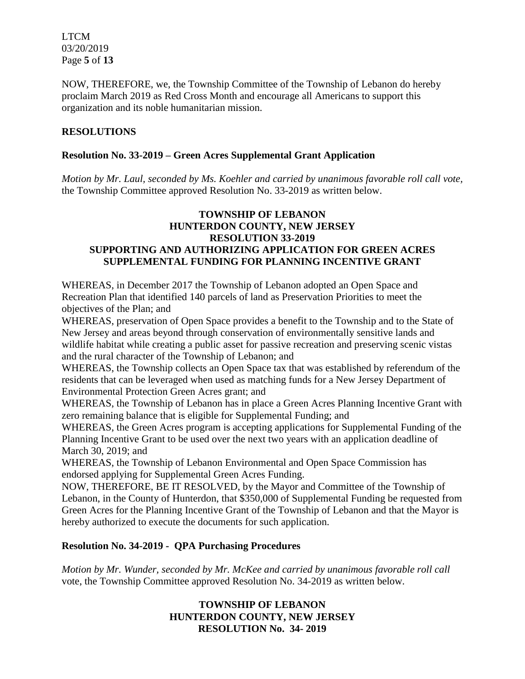LTCM 03/20/2019 Page **5** of **13**

NOW, THEREFORE, we, the Township Committee of the Township of Lebanon do hereby proclaim March 2019 as Red Cross Month and encourage all Americans to support this organization and its noble humanitarian mission.

## **RESOLUTIONS**

## **Resolution No. 33-2019 – Green Acres Supplemental Grant Application**

*Motion by Mr. Laul, seconded by Ms. Koehler and carried by unanimous favorable roll call vote,* the Township Committee approved Resolution No. 33-2019 as written below.

## **TOWNSHIP OF LEBANON HUNTERDON COUNTY, NEW JERSEY RESOLUTION 33-2019 SUPPORTING AND AUTHORIZING APPLICATION FOR GREEN ACRES SUPPLEMENTAL FUNDING FOR PLANNING INCENTIVE GRANT**

WHEREAS, in December 2017 the Township of Lebanon adopted an Open Space and Recreation Plan that identified 140 parcels of land as Preservation Priorities to meet the objectives of the Plan; and

WHEREAS, preservation of Open Space provides a benefit to the Township and to the State of New Jersey and areas beyond through conservation of environmentally sensitive lands and wildlife habitat while creating a public asset for passive recreation and preserving scenic vistas and the rural character of the Township of Lebanon; and

WHEREAS, the Township collects an Open Space tax that was established by referendum of the residents that can be leveraged when used as matching funds for a New Jersey Department of Environmental Protection Green Acres grant; and

WHEREAS, the Township of Lebanon has in place a Green Acres Planning Incentive Grant with zero remaining balance that is eligible for Supplemental Funding; and

WHEREAS, the Green Acres program is accepting applications for Supplemental Funding of the Planning Incentive Grant to be used over the next two years with an application deadline of March 30, 2019; and

WHEREAS, the Township of Lebanon Environmental and Open Space Commission has endorsed applying for Supplemental Green Acres Funding.

NOW, THEREFORE, BE IT RESOLVED, by the Mayor and Committee of the Township of Lebanon, in the County of Hunterdon, that \$350,000 of Supplemental Funding be requested from Green Acres for the Planning Incentive Grant of the Township of Lebanon and that the Mayor is hereby authorized to execute the documents for such application.

### **Resolution No. 34-2019 - QPA Purchasing Procedures**

*Motion by Mr. Wunder, seconded by Mr. McKee and carried by unanimous favorable roll call*  vote, the Township Committee approved Resolution No. 34-2019 as written below.

# **TOWNSHIP OF LEBANON HUNTERDON COUNTY, NEW JERSEY RESOLUTION No. 34- 2019**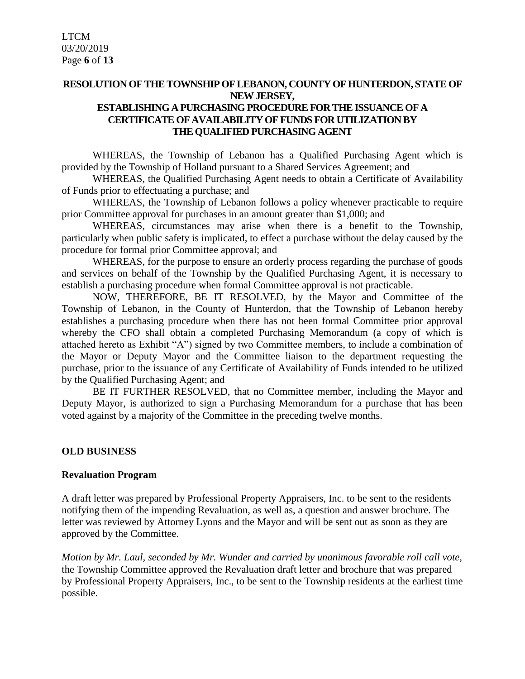## **RESOLUTION OF THE TOWNSHIP OF LEBANON, COUNTY OF HUNTERDON, STATE OF NEW JERSEY, ESTABLISHING A PURCHASING PROCEDURE FOR THE ISSUANCE OF A CERTIFICATE OF AVAILABILITY OF FUNDS FOR UTILIZATION BY THE QUALIFIED PURCHASING AGENT**

WHEREAS, the Township of Lebanon has a Qualified Purchasing Agent which is provided by the Township of Holland pursuant to a Shared Services Agreement; and

WHEREAS, the Qualified Purchasing Agent needs to obtain a Certificate of Availability of Funds prior to effectuating a purchase; and

WHEREAS, the Township of Lebanon follows a policy whenever practicable to require prior Committee approval for purchases in an amount greater than \$1,000; and

WHEREAS, circumstances may arise when there is a benefit to the Township, particularly when public safety is implicated, to effect a purchase without the delay caused by the procedure for formal prior Committee approval; and

WHEREAS, for the purpose to ensure an orderly process regarding the purchase of goods and services on behalf of the Township by the Qualified Purchasing Agent, it is necessary to establish a purchasing procedure when formal Committee approval is not practicable.

NOW, THEREFORE, BE IT RESOLVED, by the Mayor and Committee of the Township of Lebanon, in the County of Hunterdon, that the Township of Lebanon hereby establishes a purchasing procedure when there has not been formal Committee prior approval whereby the CFO shall obtain a completed Purchasing Memorandum (a copy of which is attached hereto as Exhibit "A") signed by two Committee members, to include a combination of the Mayor or Deputy Mayor and the Committee liaison to the department requesting the purchase, prior to the issuance of any Certificate of Availability of Funds intended to be utilized by the Qualified Purchasing Agent; and

BE IT FURTHER RESOLVED, that no Committee member, including the Mayor and Deputy Mayor, is authorized to sign a Purchasing Memorandum for a purchase that has been voted against by a majority of the Committee in the preceding twelve months.

### **OLD BUSINESS**

### **Revaluation Program**

A draft letter was prepared by Professional Property Appraisers, Inc. to be sent to the residents notifying them of the impending Revaluation, as well as, a question and answer brochure. The letter was reviewed by Attorney Lyons and the Mayor and will be sent out as soon as they are approved by the Committee.

*Motion by Mr. Laul, seconded by Mr. Wunder and carried by unanimous favorable roll call vote,* the Township Committee approved the Revaluation draft letter and brochure that was prepared by Professional Property Appraisers, Inc., to be sent to the Township residents at the earliest time possible.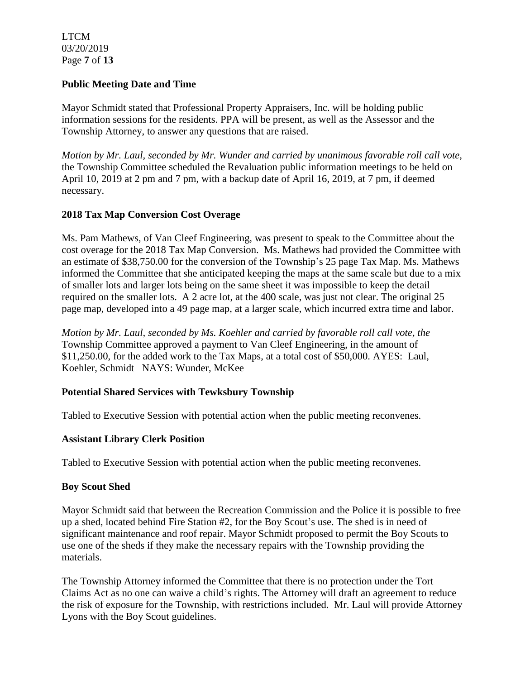LTCM 03/20/2019 Page **7** of **13**

## **Public Meeting Date and Time**

Mayor Schmidt stated that Professional Property Appraisers, Inc. will be holding public information sessions for the residents. PPA will be present, as well as the Assessor and the Township Attorney, to answer any questions that are raised.

*Motion by Mr. Laul, seconded by Mr. Wunder and carried by unanimous favorable roll call vote,* the Township Committee scheduled the Revaluation public information meetings to be held on April 10, 2019 at 2 pm and 7 pm, with a backup date of April 16, 2019, at 7 pm, if deemed necessary.

# **2018 Tax Map Conversion Cost Overage**

Ms. Pam Mathews, of Van Cleef Engineering, was present to speak to the Committee about the cost overage for the 2018 Tax Map Conversion. Ms. Mathews had provided the Committee with an estimate of \$38,750.00 for the conversion of the Township's 25 page Tax Map. Ms. Mathews informed the Committee that she anticipated keeping the maps at the same scale but due to a mix of smaller lots and larger lots being on the same sheet it was impossible to keep the detail required on the smaller lots. A 2 acre lot, at the 400 scale, was just not clear. The original 25 page map, developed into a 49 page map, at a larger scale, which incurred extra time and labor.

*Motion by Mr. Laul, seconded by Ms. Koehler and carried by favorable roll call vote, the* Township Committee approved a payment to Van Cleef Engineering, in the amount of \$11,250.00, for the added work to the Tax Maps, at a total cost of \$50,000. AYES: Laul, Koehler, Schmidt NAYS: Wunder, McKee

# **Potential Shared Services with Tewksbury Township**

Tabled to Executive Session with potential action when the public meeting reconvenes.

### **Assistant Library Clerk Position**

Tabled to Executive Session with potential action when the public meeting reconvenes.

### **Boy Scout Shed**

Mayor Schmidt said that between the Recreation Commission and the Police it is possible to free up a shed, located behind Fire Station #2, for the Boy Scout's use. The shed is in need of significant maintenance and roof repair. Mayor Schmidt proposed to permit the Boy Scouts to use one of the sheds if they make the necessary repairs with the Township providing the materials.

The Township Attorney informed the Committee that there is no protection under the Tort Claims Act as no one can waive a child's rights. The Attorney will draft an agreement to reduce the risk of exposure for the Township, with restrictions included. Mr. Laul will provide Attorney Lyons with the Boy Scout guidelines.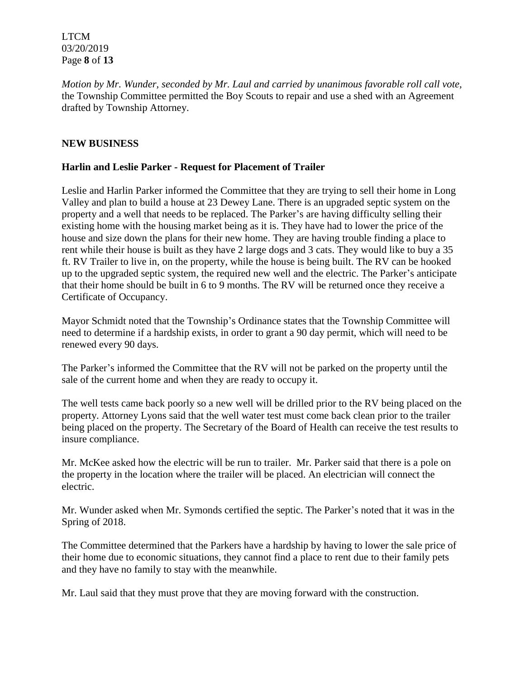LTCM 03/20/2019 Page **8** of **13**

*Motion by Mr. Wunder, seconded by Mr. Laul and carried by unanimous favorable roll call vote,* the Township Committee permitted the Boy Scouts to repair and use a shed with an Agreement drafted by Township Attorney.

## **NEW BUSINESS**

## **Harlin and Leslie Parker - Request for Placement of Trailer**

Leslie and Harlin Parker informed the Committee that they are trying to sell their home in Long Valley and plan to build a house at 23 Dewey Lane. There is an upgraded septic system on the property and a well that needs to be replaced. The Parker's are having difficulty selling their existing home with the housing market being as it is. They have had to lower the price of the house and size down the plans for their new home. They are having trouble finding a place to rent while their house is built as they have 2 large dogs and 3 cats. They would like to buy a 35 ft. RV Trailer to live in, on the property, while the house is being built. The RV can be hooked up to the upgraded septic system, the required new well and the electric. The Parker's anticipate that their home should be built in 6 to 9 months. The RV will be returned once they receive a Certificate of Occupancy.

Mayor Schmidt noted that the Township's Ordinance states that the Township Committee will need to determine if a hardship exists, in order to grant a 90 day permit, which will need to be renewed every 90 days.

The Parker's informed the Committee that the RV will not be parked on the property until the sale of the current home and when they are ready to occupy it.

The well tests came back poorly so a new well will be drilled prior to the RV being placed on the property. Attorney Lyons said that the well water test must come back clean prior to the trailer being placed on the property. The Secretary of the Board of Health can receive the test results to insure compliance.

Mr. McKee asked how the electric will be run to trailer. Mr. Parker said that there is a pole on the property in the location where the trailer will be placed. An electrician will connect the electric.

Mr. Wunder asked when Mr. Symonds certified the septic. The Parker's noted that it was in the Spring of 2018.

The Committee determined that the Parkers have a hardship by having to lower the sale price of their home due to economic situations, they cannot find a place to rent due to their family pets and they have no family to stay with the meanwhile.

Mr. Laul said that they must prove that they are moving forward with the construction.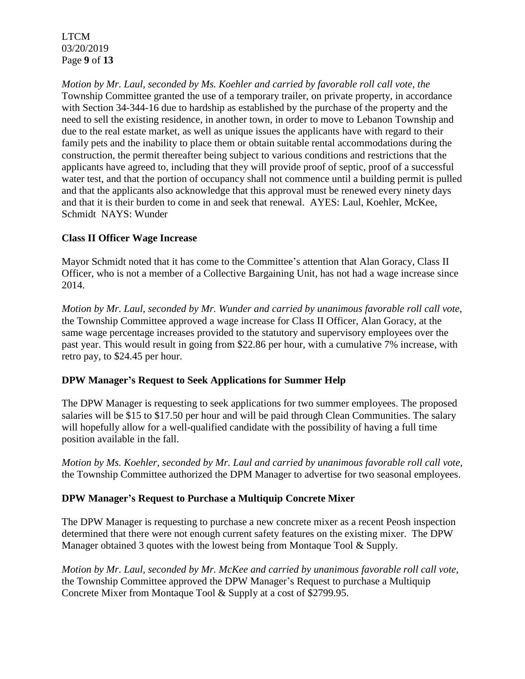LTCM 03/20/2019 Page **9** of **13**

*Motion by Mr. Laul, seconded by Ms. Koehler and carried by favorable roll call vote, the* Township Committee granted the use of a temporary trailer, on private property, in accordance with Section 34-344-16 due to hardship as established by the purchase of the property and the need to sell the existing residence, in another town, in order to move to Lebanon Township and due to the real estate market, as well as unique issues the applicants have with regard to their family pets and the inability to place them or obtain suitable rental accommodations during the construction, the permit thereafter being subject to various conditions and restrictions that the applicants have agreed to, including that they will provide proof of septic, proof of a successful water test, and that the portion of occupancy shall not commence until a building permit is pulled and that the applicants also acknowledge that this approval must be renewed every ninety days and that it is their burden to come in and seek that renewal. AYES: Laul, Koehler, McKee, Schmidt NAYS: Wunder

# **Class II Officer Wage Increase**

Mayor Schmidt noted that it has come to the Committee's attention that Alan Goracy, Class II Officer, who is not a member of a Collective Bargaining Unit, has not had a wage increase since 2014.

*Motion by Mr. Laul, seconded by Mr. Wunder and carried by unanimous favorable roll call vote,* the Township Committee approved a wage increase for Class II Officer, Alan Goracy, at the same wage percentage increases provided to the statutory and supervisory employees over the past year. This would result in going from \$22.86 per hour, with a cumulative 7% increase, with retro pay, to \$24.45 per hour.

# **DPW Manager's Request to Seek Applications for Summer Help**

The DPW Manager is requesting to seek applications for two summer employees. The proposed salaries will be \$15 to \$17.50 per hour and will be paid through Clean Communities. The salary will hopefully allow for a well-qualified candidate with the possibility of having a full time position available in the fall.

*Motion by Ms. Koehler, seconded by Mr. Laul and carried by unanimous favorable roll call vote,* the Township Committee authorized the DPM Manager to advertise for two seasonal employees.

# **DPW Manager's Request to Purchase a Multiquip Concrete Mixer**

The DPW Manager is requesting to purchase a new concrete mixer as a recent Peosh inspection determined that there were not enough current safety features on the existing mixer. The DPW Manager obtained 3 quotes with the lowest being from Montaque Tool & Supply.

*Motion by Mr. Laul, seconded by Mr. McKee and carried by unanimous favorable roll call vote,* the Township Committee approved the DPW Manager's Request to purchase a Multiquip Concrete Mixer from Montaque Tool & Supply at a cost of \$2799.95.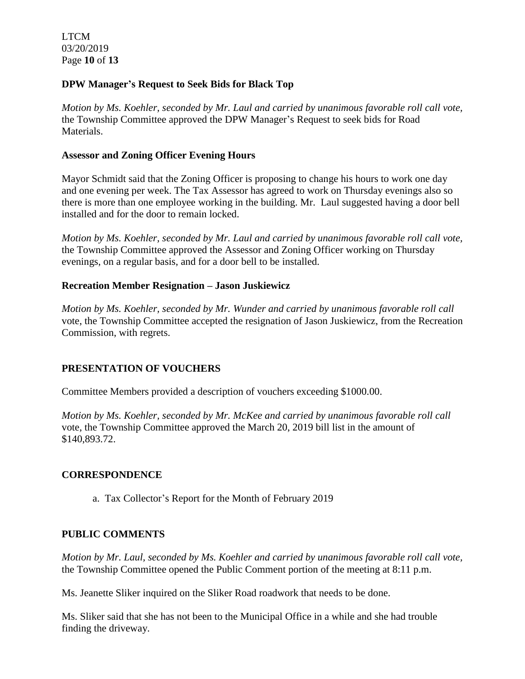LTCM 03/20/2019 Page **10** of **13**

## **DPW Manager's Request to Seek Bids for Black Top**

*Motion by Ms. Koehler, seconded by Mr. Laul and carried by unanimous favorable roll call vote,* the Township Committee approved the DPW Manager's Request to seek bids for Road Materials.

## **Assessor and Zoning Officer Evening Hours**

Mayor Schmidt said that the Zoning Officer is proposing to change his hours to work one day and one evening per week. The Tax Assessor has agreed to work on Thursday evenings also so there is more than one employee working in the building. Mr. Laul suggested having a door bell installed and for the door to remain locked.

*Motion by Ms. Koehler, seconded by Mr. Laul and carried by unanimous favorable roll call vote,* the Township Committee approved the Assessor and Zoning Officer working on Thursday evenings, on a regular basis, and for a door bell to be installed.

## **Recreation Member Resignation – Jason Juskiewicz**

*Motion by Ms. Koehler, seconded by Mr. Wunder and carried by unanimous favorable roll call*  vote, the Township Committee accepted the resignation of Jason Juskiewicz, from the Recreation Commission, with regrets.

# **PRESENTATION OF VOUCHERS**

Committee Members provided a description of vouchers exceeding \$1000.00.

*Motion by Ms. Koehler, seconded by Mr. McKee and carried by unanimous favorable roll call*  vote, the Township Committee approved the March 20, 2019 bill list in the amount of \$140,893.72.

### **CORRESPONDENCE**

a. Tax Collector's Report for the Month of February 2019

# **PUBLIC COMMENTS**

*Motion by Mr. Laul, seconded by Ms. Koehler and carried by unanimous favorable roll call vote,* the Township Committee opened the Public Comment portion of the meeting at 8:11 p.m.

Ms. Jeanette Sliker inquired on the Sliker Road roadwork that needs to be done.

Ms. Sliker said that she has not been to the Municipal Office in a while and she had trouble finding the driveway.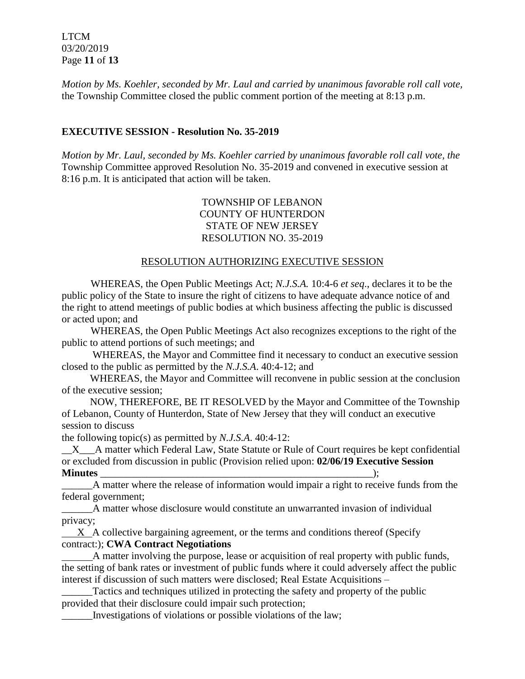LTCM 03/20/2019 Page **11** of **13**

*Motion by Ms. Koehler, seconded by Mr. Laul and carried by unanimous favorable roll call vote,* the Township Committee closed the public comment portion of the meeting at 8:13 p.m.

## **EXECUTIVE SESSION - Resolution No. 35-2019**

*Motion by Mr. Laul, seconded by Ms. Koehler carried by unanimous favorable roll call vote, the* Township Committee approved Resolution No. 35-2019 and convened in executive session at 8:16 p.m. It is anticipated that action will be taken.

## TOWNSHIP OF LEBANON COUNTY OF HUNTERDON STATE OF NEW JERSEY RESOLUTION NO. 35-2019

### RESOLUTION AUTHORIZING EXECUTIVE SESSION

WHEREAS, the Open Public Meetings Act; *N.J.S.A.* 10:4-6 *et seq*., declares it to be the public policy of the State to insure the right of citizens to have adequate advance notice of and the right to attend meetings of public bodies at which business affecting the public is discussed or acted upon; and

WHEREAS, the Open Public Meetings Act also recognizes exceptions to the right of the public to attend portions of such meetings; and

 WHEREAS, the Mayor and Committee find it necessary to conduct an executive session closed to the public as permitted by the *N.J.S.A*. 40:4-12; and

 WHEREAS, the Mayor and Committee will reconvene in public session at the conclusion of the executive session;

 NOW, THEREFORE, BE IT RESOLVED by the Mayor and Committee of the Township of Lebanon, County of Hunterdon, State of New Jersey that they will conduct an executive session to discuss

the following topic(s) as permitted by *N.J.S.A*. 40:4-12:

X A matter which Federal Law, State Statute or Rule of Court requires be kept confidential or excluded from discussion in public (Provision relied upon: **02/06/19 Executive Session Minutes** \_\_\_\_\_\_\_\_\_\_\_\_\_\_\_\_\_\_\_\_\_\_\_\_\_\_\_\_\_\_\_\_\_\_\_\_\_\_\_\_\_\_\_\_\_\_\_\_\_\_\_\_\_);

\_\_\_\_\_\_A matter where the release of information would impair a right to receive funds from the federal government;

\_\_\_\_\_\_A matter whose disclosure would constitute an unwarranted invasion of individual privacy;

 $X$  A collective bargaining agreement, or the terms and conditions thereof (Specify contract:); **CWA Contract Negotiations**

 A matter involving the purpose, lease or acquisition of real property with public funds, the setting of bank rates or investment of public funds where it could adversely affect the public interest if discussion of such matters were disclosed; Real Estate Acquisitions –

Tactics and techniques utilized in protecting the safety and property of the public provided that their disclosure could impair such protection;

\_\_\_\_\_\_Investigations of violations or possible violations of the law;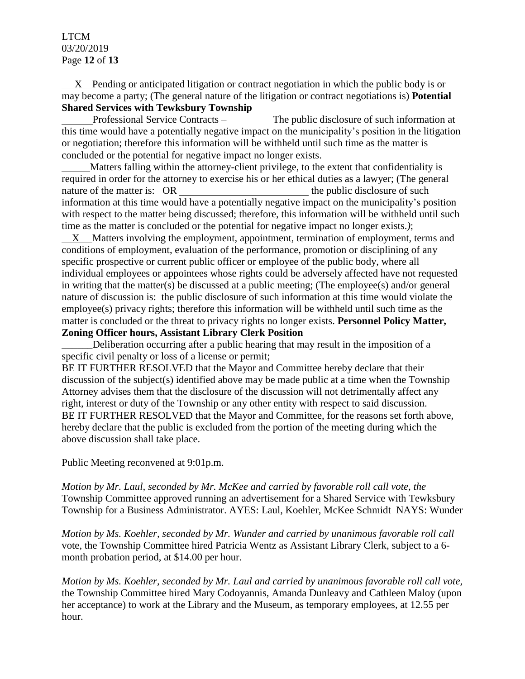#### LTCM 03/20/2019 Page **12** of **13**

 X Pending or anticipated litigation or contract negotiation in which the public body is or may become a party; (The general nature of the litigation or contract negotiations is) **Potential Shared Services with Tewksbury Township**

 Professional Service Contracts –The public disclosure of such information at this time would have a potentially negative impact on the municipality's position in the litigation or negotiation; therefore this information will be withheld until such time as the matter is concluded or the potential for negative impact no longer exists.

 Matters falling within the attorney-client privilege, to the extent that confidentiality is required in order for the attorney to exercise his or her ethical duties as a lawyer; (The general nature of the matter is: OR the public disclosure of such the public disclosure of such the public disclosure of such the public disclosure of such the public disclosure of such the public disclosure of such the public dis information at this time would have a potentially negative impact on the municipality's position with respect to the matter being discussed; therefore, this information will be withheld until such time as the matter is concluded or the potential for negative impact no longer exists.*)*;

 X Matters involving the employment, appointment, termination of employment, terms and conditions of employment, evaluation of the performance, promotion or disciplining of any specific prospective or current public officer or employee of the public body, where all individual employees or appointees whose rights could be adversely affected have not requested in writing that the matter(s) be discussed at a public meeting; (The employee(s) and/or general nature of discussion is: the public disclosure of such information at this time would violate the employee(s) privacy rights; therefore this information will be withheld until such time as the matter is concluded or the threat to privacy rights no longer exists. **Personnel Policy Matter, Zoning Officer hours, Assistant Library Clerk Position**

Deliberation occurring after a public hearing that may result in the imposition of a specific civil penalty or loss of a license or permit;

BE IT FURTHER RESOLVED that the Mayor and Committee hereby declare that their discussion of the subject(s) identified above may be made public at a time when the Township Attorney advises them that the disclosure of the discussion will not detrimentally affect any right, interest or duty of the Township or any other entity with respect to said discussion. BE IT FURTHER RESOLVED that the Mayor and Committee, for the reasons set forth above, hereby declare that the public is excluded from the portion of the meeting during which the above discussion shall take place.

Public Meeting reconvened at 9:01p.m.

*Motion by Mr. Laul, seconded by Mr. McKee and carried by favorable roll call vote, the* Township Committee approved running an advertisement for a Shared Service with Tewksbury Township for a Business Administrator. AYES: Laul, Koehler, McKee Schmidt NAYS: Wunder

*Motion by Ms. Koehler, seconded by Mr. Wunder and carried by unanimous favorable roll call*  vote, the Township Committee hired Patricia Wentz as Assistant Library Clerk, subject to a 6 month probation period, at \$14.00 per hour.

*Motion by Ms. Koehler, seconded by Mr. Laul and carried by unanimous favorable roll call vote,* the Township Committee hired Mary Codoyannis, Amanda Dunleavy and Cathleen Maloy (upon her acceptance) to work at the Library and the Museum, as temporary employees, at 12.55 per hour.